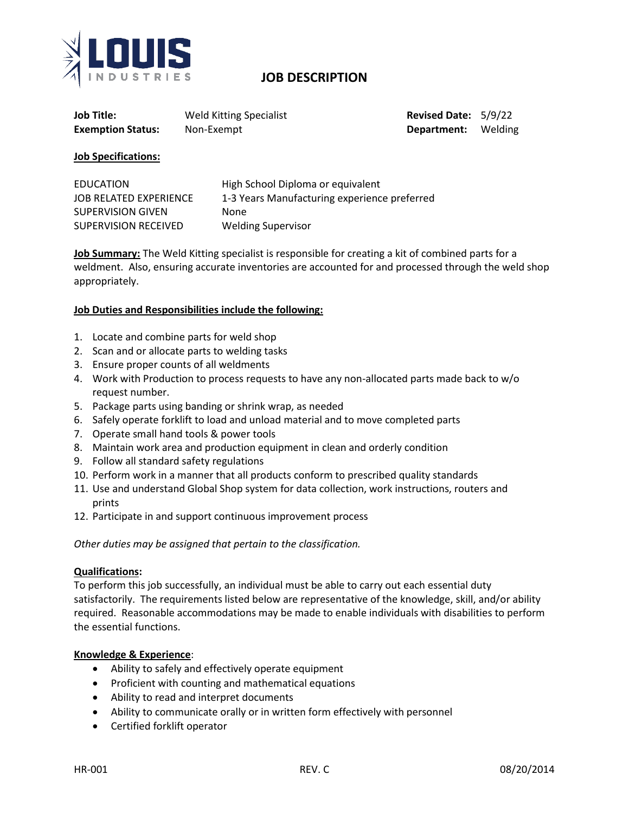

# **JOB DESCRIPTION**

| Job Title:               | <b>Weld Kitting Specialist</b> |
|--------------------------|--------------------------------|
| <b>Exemption Status:</b> | Non-Exempt                     |

**Revised Date: 5/9/22 Department:** Welding

### **Job Specifications:**

| <b>EDUCATION</b>         | High School Diploma or equivalent            |
|--------------------------|----------------------------------------------|
| JOB RELATED EXPERIENCE   | 1-3 Years Manufacturing experience preferred |
| <b>SUPERVISION GIVEN</b> | <b>None</b>                                  |
| SUPERVISION RECEIVED     | <b>Welding Supervisor</b>                    |

**Job Summary:** The Weld Kitting specialist is responsible for creating a kit of combined parts for a weldment. Also, ensuring accurate inventories are accounted for and processed through the weld shop appropriately.

### **Job Duties and Responsibilities include the following:**

- 1. Locate and combine parts for weld shop
- 2. Scan and or allocate parts to welding tasks
- 3. Ensure proper counts of all weldments
- 4. Work with Production to process requests to have any non-allocated parts made back to w/o request number.
- 5. Package parts using banding or shrink wrap, as needed
- 6. Safely operate forklift to load and unload material and to move completed parts
- 7. Operate small hand tools & power tools
- 8. Maintain work area and production equipment in clean and orderly condition
- 9. Follow all standard safety regulations
- 10. Perform work in a manner that all products conform to prescribed quality standards
- 11. Use and understand Global Shop system for data collection, work instructions, routers and prints
- 12. Participate in and support continuous improvement process

*Other duties may be assigned that pertain to the classification.* 

#### **Qualifications:**

To perform this job successfully, an individual must be able to carry out each essential duty satisfactorily. The requirements listed below are representative of the knowledge, skill, and/or ability required. Reasonable accommodations may be made to enable individuals with disabilities to perform the essential functions.

#### **Knowledge & Experience**:

- Ability to safely and effectively operate equipment
- Proficient with counting and mathematical equations
- Ability to read and interpret documents
- Ability to communicate orally or in written form effectively with personnel
- Certified forklift operator